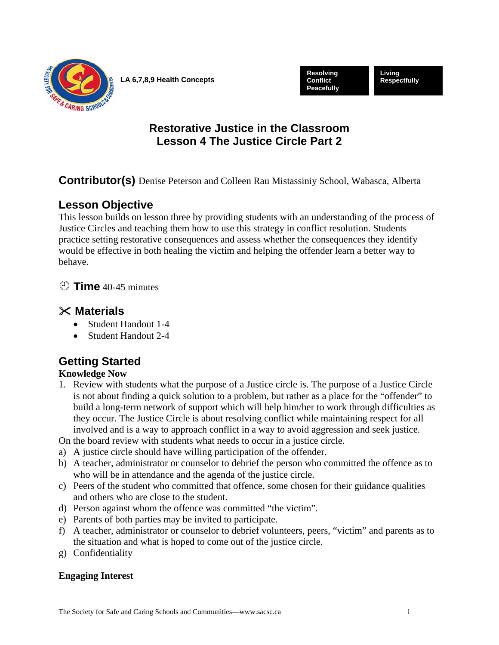

**LA 6,7,8,9 Health Concepts**

**Resolving Conflict Peacefully**  **Living Respectfully** 

## **Restorative Justice in the Classroom Lesson 4 The Justice Circle Part 2**

**Contributor(s)** Denise Peterson and Colleen Rau Mistassiniy School, Wabasca, Alberta

### **Lesson Objective**

This lesson builds on lesson three by providing students with an understanding of the process of Justice Circles and teaching them how to use this strategy in conflict resolution. Students practice setting restorative consequences and assess whether the consequences they identify would be effective in both healing the victim and helping the offender learn a better way to behave.

 $\circ$  **Time** 40-45 minutes

### **Materials**

- Student Handout 1-4
- Student Handout 2-4

# **Getting Started**

#### **Knowledge Now**

1. Review with students what the purpose of a Justice circle is. The purpose of a Justice Circle is not about finding a quick solution to a problem, but rather as a place for the "offender" to build a long-term network of support which will help him/her to work through difficulties as they occur. The Justice Circle is about resolving conflict while maintaining respect for all involved and is a way to approach conflict in a way to avoid aggression and seek justice.

On the board review with students what needs to occur in a justice circle.

- a) A justice circle should have willing participation of the offender.
- b) A teacher, administrator or counselor to debrief the person who committed the offence as to who will be in attendance and the agenda of the justice circle.
- c) Peers of the student who committed that offence, some chosen for their guidance qualities and others who are close to the student.
- d) Person against whom the offence was committed "the victim".
- e) Parents of both parties may be invited to participate.
- f) A teacher, administrator or counselor to debrief volunteers, peers, "victim" and parents as to the situation and what is hoped to come out of the justice circle.
- g) Confidentiality

#### **Engaging Interest**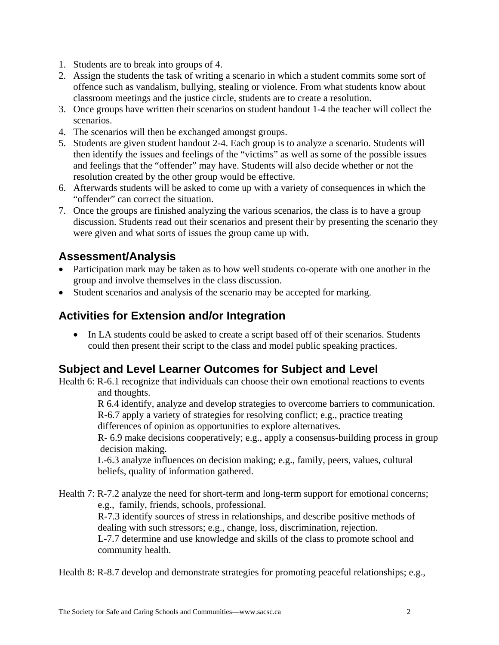- 1. Students are to break into groups of 4.
- 2. Assign the students the task of writing a scenario in which a student commits some sort of offence such as vandalism, bullying, stealing or violence. From what students know about classroom meetings and the justice circle, students are to create a resolution.
- 3. Once groups have written their scenarios on student handout 1-4 the teacher will collect the scenarios.
- 4. The scenarios will then be exchanged amongst groups.
- 5. Students are given student handout 2-4. Each group is to analyze a scenario. Students will then identify the issues and feelings of the "victims" as well as some of the possible issues and feelings that the "offender" may have. Students will also decide whether or not the resolution created by the other group would be effective.
- 6. Afterwards students will be asked to come up with a variety of consequences in which the "offender" can correct the situation.
- 7. Once the groups are finished analyzing the various scenarios, the class is to have a group discussion. Students read out their scenarios and present their by presenting the scenario they were given and what sorts of issues the group came up with.

### **Assessment/Analysis**

- Participation mark may be taken as to how well students co-operate with one another in the group and involve themselves in the class discussion.
- Student scenarios and analysis of the scenario may be accepted for marking.

### **Activities for Extension and/or Integration**

• In LA students could be asked to create a script based off of their scenarios. Students could then present their script to the class and model public speaking practices.

## **Subject and Level Learner Outcomes for Subject and Level**

Health 6: R-6.1 recognize that individuals can choose their own emotional reactions to events and thoughts.

 R 6.4 identify, analyze and develop strategies to overcome barriers to communication. R-6.7 apply a variety of strategies for resolving conflict; e.g., practice treating

differences of opinion as opportunities to explore alternatives.

 R- 6.9 make decisions cooperatively; e.g., apply a consensus-building process in group decision making.

 L-6.3 analyze influences on decision making; e.g., family, peers, values, cultural beliefs, quality of information gathered.

Health 7: R-7.2 analyze the need for short-term and long-term support for emotional concerns; e.g., family, friends, schools, professional. R-7.3 identify sources of stress in relationships, and describe positive methods of dealing with such stressors; e.g., change, loss, discrimination, rejection. L-7.7 determine and use knowledge and skills of the class to promote school and community health.

Health 8: R-8.7 develop and demonstrate strategies for promoting peaceful relationships; e.g.,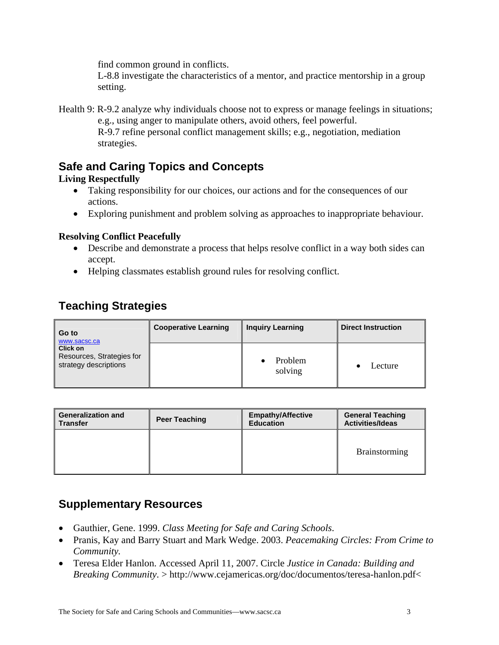find common ground in conflicts.

 L-8.8 investigate the characteristics of a mentor, and practice mentorship in a group setting.

Health 9: R-9.2 analyze why individuals choose not to express or manage feelings in situations; e.g., using anger to manipulate others, avoid others, feel powerful. R-9.7 refine personal conflict management skills; e.g., negotiation, mediation strategies.

### **Safe and Caring Topics and Concepts**

#### **Living Respectfully**

- Taking responsibility for our choices, our actions and for the consequences of our actions.
- Exploring punishment and problem solving as approaches to inappropriate behaviour.

#### **Resolving Conflict Peacefully**

- Describe and demonstrate a process that helps resolve conflict in a way both sides can accept.
- Helping classmates establish ground rules for resolving conflict.

# **Teaching Strategies**

| Go to<br>www.sacsc.ca<br><b>Click on</b><br>Resources, Strategies for<br>strategy descriptions | <b>Cooperative Learning</b> | <b>Inquiry Learning</b> | <b>Direct Instruction</b> |
|------------------------------------------------------------------------------------------------|-----------------------------|-------------------------|---------------------------|
|                                                                                                |                             | Problem<br>solving      | Lecture                   |

| <b>Generalization and</b> | <b>Peer Teaching</b> | <b>Empathy/Affective</b> | <b>General Teaching</b> |
|---------------------------|----------------------|--------------------------|-------------------------|
| <b>Transfer</b>           |                      | <b>Education</b>         | <b>Activities/Ideas</b> |
|                           |                      |                          | Brainstorming           |

### **Supplementary Resources**

- Gauthier, Gene. 1999. *Class Meeting for Safe and Caring Schools*.
- Pranis, Kay and Barry Stuart and Mark Wedge. 2003. *Peacemaking Circles: From Crime to Community.*
- Teresa Elder Hanlon. Accessed April 11, 2007. Circle *Justice in Canada: Building and Breaking Community*. > http://www.cejamericas.org/doc/documentos/teresa-hanlon.pdf<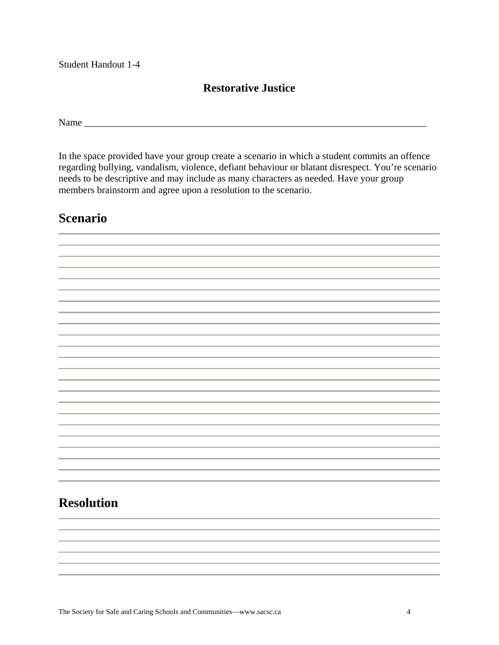Student Handout 1-4

### **Restorative Justice**

Name \_\_\_\_\_\_\_\_\_\_\_\_\_\_\_\_\_\_\_\_\_\_\_\_\_\_\_\_\_\_\_\_\_\_\_\_\_\_\_\_\_\_\_\_\_\_\_\_\_\_\_\_\_\_\_\_\_\_\_\_\_\_\_\_\_\_\_\_\_\_

In the space provided have your group create a scenario in which a student commits an offence regarding bullying, vandalism, violence, defiant behaviour or blatant disrespect. You're scenario needs to be descriptive and may include as many characters as needed. Have your group members brainstorm and agree upon a resolution to the scenario.

## **Scenario**

# **Resolution**